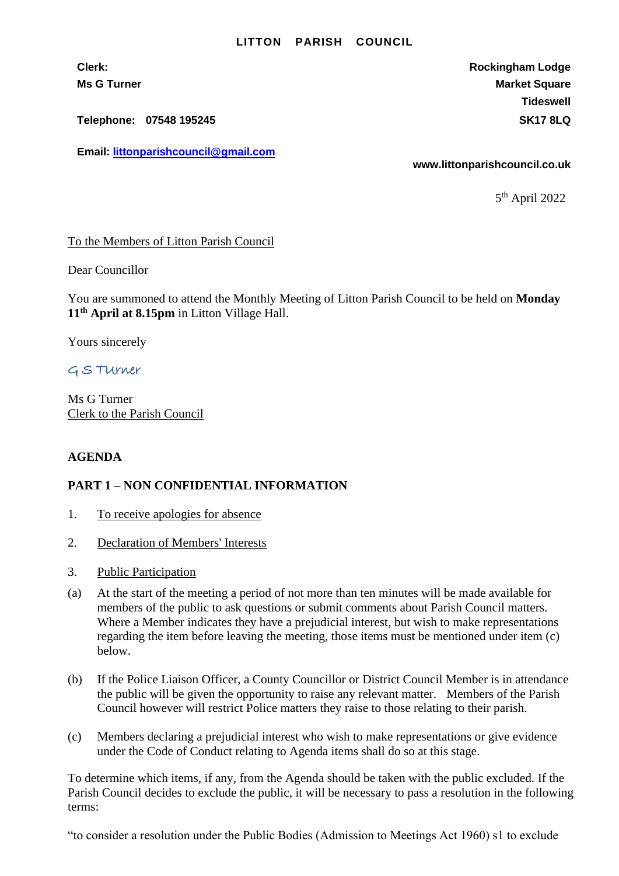## **LITTON PARISH COUNCIL**

**Clerk: Rockingham Lodge Ms G Turner Market Square** Market Square Market Square Market Square **Tideswell**

**Telephone: 07548 195245 SK17 8LQ**

**Email: [littonparishcouncil@gmail.com](mailto:littonparishcouncil@gmail.com)**

**www.littonparishcouncil.co.uk**

5 th April 2022

## To the Members of Litton Parish Council

Dear Councillor

You are summoned to attend the Monthly Meeting of Litton Parish Council to be held on **Monday 11th April at 8.15pm** in Litton Village Hall.

Yours sincerely

G S TUrner

Ms G Turner Clerk to the Parish Council

## **AGENDA**

## **PART 1 – NON CONFIDENTIAL INFORMATION**

- 1. To receive apologies for absence
- 2. Declaration of Members' Interests
- 3. Public Participation
- (a) At the start of the meeting a period of not more than ten minutes will be made available for members of the public to ask questions or submit comments about Parish Council matters. Where a Member indicates they have a prejudicial interest, but wish to make representations regarding the item before leaving the meeting, those items must be mentioned under item (c) below.
- (b) If the Police Liaison Officer, a County Councillor or District Council Member is in attendance the public will be given the opportunity to raise any relevant matter. Members of the Parish Council however will restrict Police matters they raise to those relating to their parish.
- (c) Members declaring a prejudicial interest who wish to make representations or give evidence under the Code of Conduct relating to Agenda items shall do so at this stage.

To determine which items, if any, from the Agenda should be taken with the public excluded. If the Parish Council decides to exclude the public, it will be necessary to pass a resolution in the following terms:

"to consider a resolution under the Public Bodies (Admission to Meetings Act 1960) s1 to exclude